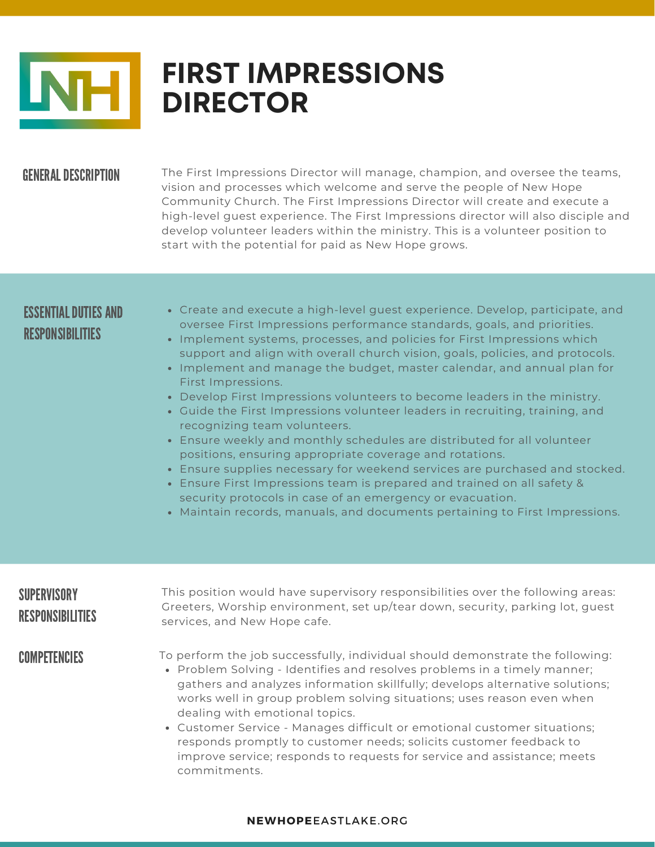

# **FIRST IMPRESSIONS DIRECTOR**

### **GENERAL DESCRIPTION**

The First Impressions Director will manage, champion, and oversee the teams, vision and processes which welcome and serve the people of New Hope Community Church. The First Impressions Director will create and execute a high-level guest experience. The First Impressions director will also disciple and develop volunteer leaders within the ministry. This is a volunteer position to start with the potential for paid as New Hope grows.

## ESSENTIAL DUTIES AND RESPONSIBILITIES

- Create and execute a high-level guest experience. Develop, participate, and oversee First Impressions performance standards, goals, and priorities.
- Implement systems, processes, and policies for First Impressions which support and align with overall church vision, goals, policies, and protocols.
- Implement and manage the budget, master calendar, and annual plan for First Impressions.
- Develop First Impressions volunteers to become leaders in the ministry.
- Guide the First Impressions volunteer leaders in recruiting, training, and recognizing team volunteers.
- Ensure weekly and monthly schedules are distributed for all volunteer positions, ensuring appropriate coverage and rotations.
- Ensure supplies necessary for weekend services are purchased and stocked.
- Ensure First Impressions team is prepared and trained on all safety & security protocols in case of an emergency or evacuation.
- Maintain records, manuals, and documents pertaining to First Impressions.

# **SUPERVISORY** RESPONSIBILITIES

This position would have supervisory responsibilities over the following areas: Greeters, Worship environment, set up/tear down, security, parking lot, guest services, and New Hope cafe.

**COMPETENCIES** 

To perform the job successfully, individual should demonstrate the following:

- Problem Solving Identifies and resolves problems in a timely manner; gathers and analyzes information skillfully; develops alternative solutions; works well in group problem solving situations; uses reason even when dealing with emotional topics.
- Customer Service Manages difficult or emotional customer situations; responds promptly to customer needs; solicits customer feedback to improve service; responds to requests for service and assistance; meets commitments.

#### **NEWHOPE**EASTLAKE.ORG